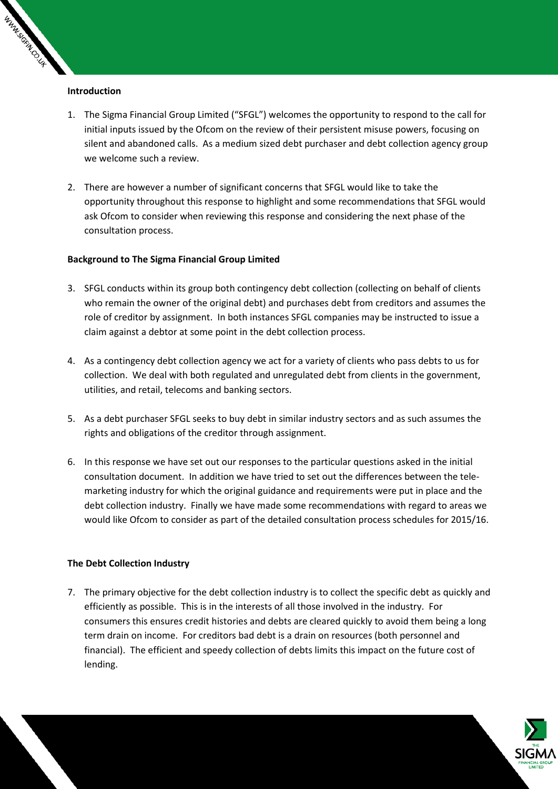### **Introduction**

WARNASSINI CILL

- 1. The Sigma Financial Group Limited ("SFGL") welcomes the opportunity to respond to the call for initial inputs issued by the Ofcom on the review of their persistent misuse powers, focusing on silent and abandoned calls. As a medium sized debt purchaser and debt collection agency group we welcome such a review.
- 2. There are however a number of significant concerns that SFGL would like to take the opportunity throughout this response to highlight and some recommendations that SFGL would ask Ofcom to consider when reviewing this response and considering the next phase of the consultation process.

# **Background to The Sigma Financial Group Limited**

- 3. SFGL conducts within its group both contingency debt collection (collecting on behalf of clients who remain the owner of the original debt) and purchases debt from creditors and assumes the role of creditor by assignment. In both instances SFGL companies may be instructed to issue a claim against a debtor at some point in the debt collection process.
- 4. As a contingency debt collection agency we act for a variety of clients who pass debts to us for collection. We deal with both regulated and unregulated debt from clients in the government, utilities, and retail, telecoms and banking sectors.
- 5. As a debt purchaser SFGL seeks to buy debt in similar industry sectors and as such assumes the rights and obligations of the creditor through assignment.
- 6. In this response we have set out our responses to the particular questions asked in the initial consultation document. In addition we have tried to set out the differences between the telemarketing industry for which the original guidance and requirements were put in place and the debt collection industry. Finally we have made some recommendations with regard to areas we would like Ofcom to consider as part of the detailed consultation process schedules for 2015/16.

# **The Debt Collection Industry**

7. The primary objective for the debt collection industry is to collect the specific debt as quickly and efficiently as possible. This is in the interests of all those involved in the industry. For consumers this ensures credit histories and debts are cleared quickly to avoid them being a long term drain on income. For creditors bad debt is a drain on resources (both personnel and financial). The efficient and speedy collection of debts limits this impact on the future cost of lending.

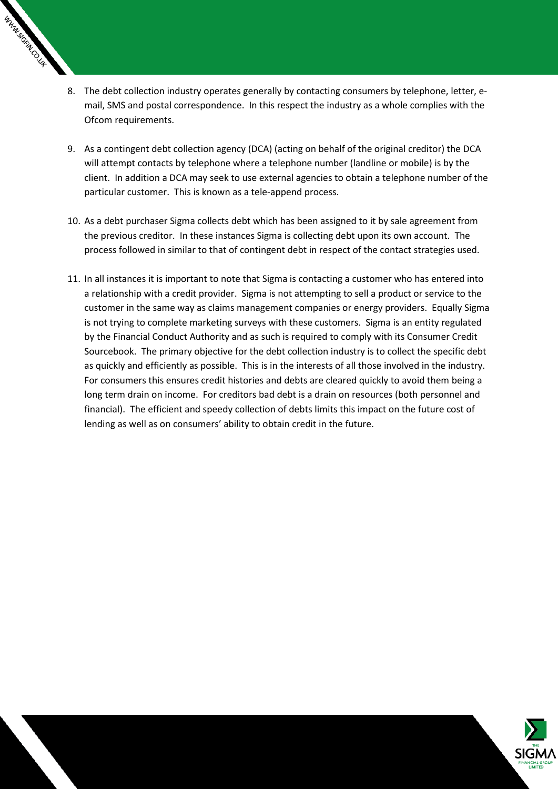

- 8. The debt collection industry operates generally by contacting consumers by telephone, letter, email, SMS and postal correspondence. In this respect the industry as a whole complies with the Ofcom requirements.
- 9. As a contingent debt collection agency (DCA) (acting on behalf of the original creditor) the DCA will attempt contacts by telephone where a telephone number (landline or mobile) is by the client. In addition a DCA may seek to use external agencies to obtain a telephone number of the particular customer. This is known as a tele-append process.
- 10. As a debt purchaser Sigma collects debt which has been assigned to it by sale agreement from the previous creditor. In these instances Sigma is collecting debt upon its own account. The process followed in similar to that of contingent debt in respect of the contact strategies used.
- 11. In all instances it is important to note that Sigma is contacting a customer who has entered into a relationship with a credit provider. Sigma is not attempting to sell a product or service to the customer in the same way as claims management companies or energy providers. Equally Sigma is not trying to complete marketing surveys with these customers. Sigma is an entity regulated by the Financial Conduct Authority and as such is required to comply with its Consumer Credit Sourcebook. The primary objective for the debt collection industry is to collect the specific debt as quickly and efficiently as possible. This is in the interests of all those involved in the industry. For consumers this ensures credit histories and debts are cleared quickly to avoid them being a long term drain on income. For creditors bad debt is a drain on resources (both personnel and financial). The efficient and speedy collection of debts limits this impact on the future cost of lending as well as on consumers' ability to obtain credit in the future.

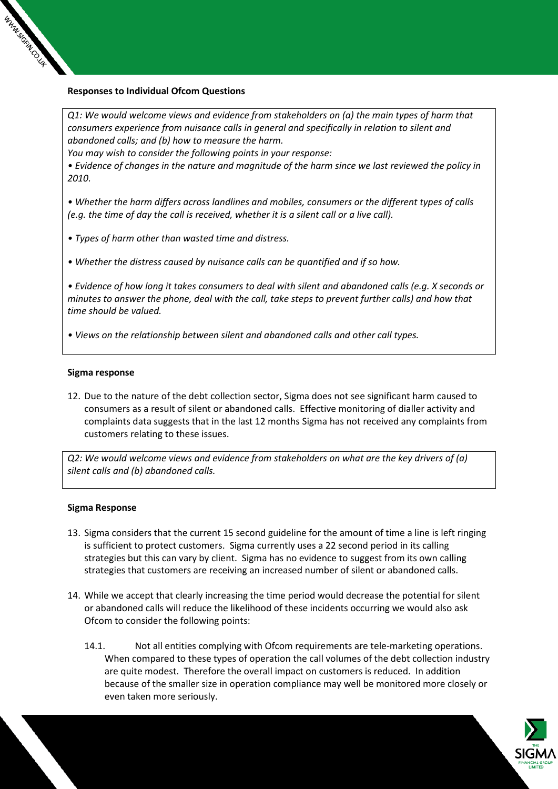

# **Responses to Individual Ofcom Questions**

*Q1: We would welcome views and evidence from stakeholders on (a) the main types of harm that consumers experience from nuisance calls in general and specifically in relation to silent and abandoned calls; and (b) how to measure the harm.* 

*You may wish to consider the following points in your response:* 

*• Evidence of changes in the nature and magnitude of the harm since we last reviewed the policy in 2010.* 

*• Whether the harm differs across landlines and mobiles, consumers or the different types of calls (e.g. the time of day the call is received, whether it is a silent call or a live call).* 

- *Types of harm other than wasted time and distress.*
- *Whether the distress caused by nuisance calls can be quantified and if so how.*

*• Evidence of how long it takes consumers to deal with silent and abandoned calls (e.g. X seconds or minutes to answer the phone, deal with the call, take steps to prevent further calls) and how that time should be valued.* 

*• Views on the relationship between silent and abandoned calls and other call types.* 

### **Sigma response**

12. Due to the nature of the debt collection sector, Sigma does not see significant harm caused to consumers as a result of silent or abandoned calls. Effective monitoring of dialler activity and complaints data suggests that in the last 12 months Sigma has not received any complaints from customers relating to these issues.

*Q2: We would welcome views and evidence from stakeholders on what are the key drivers of (a) silent calls and (b) abandoned calls.*

### **Sigma Response**

- 13. Sigma considers that the current 15 second guideline for the amount of time a line is left ringing is sufficient to protect customers. Sigma currently uses a 22 second period in its calling strategies but this can vary by client. Sigma has no evidence to suggest from its own calling strategies that customers are receiving an increased number of silent or abandoned calls.
- 14. While we accept that clearly increasing the time period would decrease the potential for silent or abandoned calls will reduce the likelihood of these incidents occurring we would also ask Ofcom to consider the following points:
	- 14.1. Not all entities complying with Ofcom requirements are tele-marketing operations. When compared to these types of operation the call volumes of the debt collection industry are quite modest. Therefore the overall impact on customers is reduced. In addition because of the smaller size in operation compliance may well be monitored more closely or even taken more seriously.

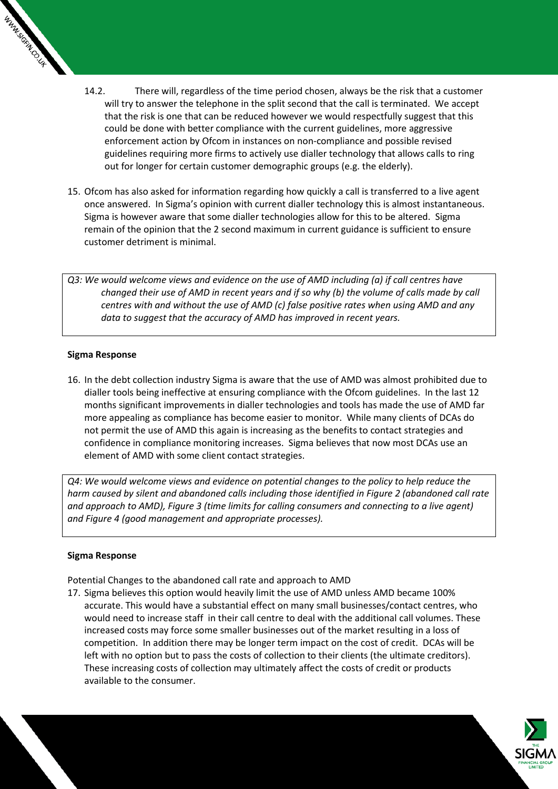

- 14.2. There will, regardless of the time period chosen, always be the risk that a customer will try to answer the telephone in the split second that the call is terminated. We accept that the risk is one that can be reduced however we would respectfully suggest that this could be done with better compliance with the current guidelines, more aggressive enforcement action by Ofcom in instances on non-compliance and possible revised guidelines requiring more firms to actively use dialler technology that allows calls to ring out for longer for certain customer demographic groups (e.g. the elderly).
- 15. Ofcom has also asked for information regarding how quickly a call is transferred to a live agent once answered. In Sigma's opinion with current dialler technology this is almost instantaneous. Sigma is however aware that some dialler technologies allow for this to be altered. Sigma remain of the opinion that the 2 second maximum in current guidance is sufficient to ensure customer detriment is minimal.

*Q3: We would welcome views and evidence on the use of AMD including (a) if call centres have changed their use of AMD in recent years and if so why (b) the volume of calls made by call centres with and without the use of AMD (c) false positive rates when using AMD and any data to suggest that the accuracy of AMD has improved in recent years.*

# **Sigma Response**

16. In the debt collection industry Sigma is aware that the use of AMD was almost prohibited due to dialler tools being ineffective at ensuring compliance with the Ofcom guidelines. In the last 12 months significant improvements in dialler technologies and tools has made the use of AMD far more appealing as compliance has become easier to monitor. While many clients of DCAs do not permit the use of AMD this again is increasing as the benefits to contact strategies and confidence in compliance monitoring increases. Sigma believes that now most DCAs use an element of AMD with some client contact strategies.

*Q4: We would welcome views and evidence on potential changes to the policy to help reduce the harm caused by silent and abandoned calls including those identified in Figure 2 (abandoned call rate and approach to AMD), Figure 3 (time limits for calling consumers and connecting to a live agent) and Figure 4 (good management and appropriate processes).* 

# **Sigma Response**

Potential Changes to the abandoned call rate and approach to AMD

17. Sigma believes this option would heavily limit the use of AMD unless AMD became 100% accurate. This would have a substantial effect on many small businesses/contact centres, who would need to increase staff in their call centre to deal with the additional call volumes. These increased costs may force some smaller businesses out of the market resulting in a loss of competition. In addition there may be longer term impact on the cost of credit. DCAs will be left with no option but to pass the costs of collection to their clients (the ultimate creditors). These increasing costs of collection may ultimately affect the costs of credit or products available to the consumer.

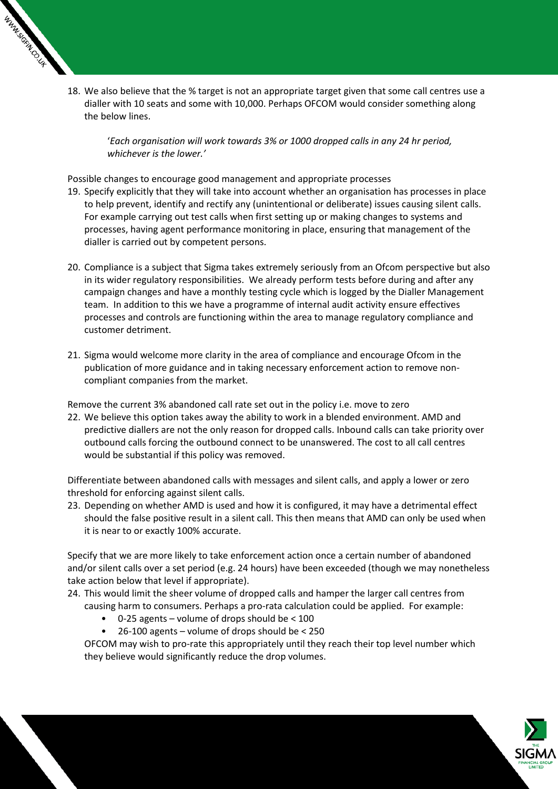

18. We also believe that the % target is not an appropriate target given that some call centres use a dialler with 10 seats and some with 10,000. Perhaps OFCOM would consider something along the below lines.

'*Each organisation will work towards 3% or 1000 dropped calls in any 24 hr period, whichever is the lower.'*

Possible changes to encourage good management and appropriate processes

- 19. Specify explicitly that they will take into account whether an organisation has processes in place to help prevent, identify and rectify any (unintentional or deliberate) issues causing silent calls. For example carrying out test calls when first setting up or making changes to systems and processes, having agent performance monitoring in place, ensuring that management of the dialler is carried out by competent persons.
- 20. Compliance is a subject that Sigma takes extremely seriously from an Ofcom perspective but also in its wider regulatory responsibilities. We already perform tests before during and after any campaign changes and have a monthly testing cycle which is logged by the Dialler Management team. In addition to this we have a programme of internal audit activity ensure effectives processes and controls are functioning within the area to manage regulatory compliance and customer detriment.
- 21. Sigma would welcome more clarity in the area of compliance and encourage Ofcom in the publication of more guidance and in taking necessary enforcement action to remove noncompliant companies from the market.

Remove the current 3% abandoned call rate set out in the policy i.e. move to zero

22. We believe this option takes away the ability to work in a blended environment. AMD and predictive diallers are not the only reason for dropped calls. Inbound calls can take priority over outbound calls forcing the outbound connect to be unanswered. The cost to all call centres would be substantial if this policy was removed.

Differentiate between abandoned calls with messages and silent calls, and apply a lower or zero threshold for enforcing against silent calls.

23. Depending on whether AMD is used and how it is configured, it may have a detrimental effect should the false positive result in a silent call. This then means that AMD can only be used when it is near to or exactly 100% accurate.

Specify that we are more likely to take enforcement action once a certain number of abandoned and/or silent calls over a set period (e.g. 24 hours) have been exceeded (though we may nonetheless take action below that level if appropriate).

- 24. This would limit the sheer volume of dropped calls and hamper the larger call centres from
	- causing harm to consumers. Perhaps a pro-rata calculation could be applied. For example:
		- $\bullet$  0-25 agents volume of drops should be < 100
		- 26-100 agents volume of drops should be < 250

OFCOM may wish to pro-rate this appropriately until they reach their top level number which they believe would significantly reduce the drop volumes.

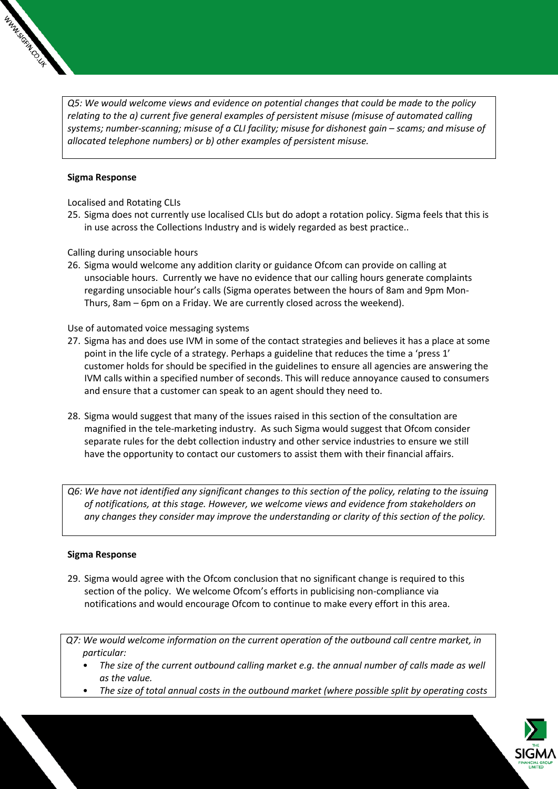

*Q5: We would welcome views and evidence on potential changes that could be made to the policy relating to the a) current five general examples of persistent misuse (misuse of automated calling systems; number-scanning; misuse of a CLI facility; misuse for dishonest gain – scams; and misuse of allocated telephone numbers) or b) other examples of persistent misuse.*

### **Sigma Response**

Localised and Rotating CLIs

25. Sigma does not currently use localised CLIs but do adopt a rotation policy. Sigma feels that this is in use across the Collections Industry and is widely regarded as best practice..

Calling during unsociable hours

26. Sigma would welcome any addition clarity or guidance Ofcom can provide on calling at unsociable hours. Currently we have no evidence that our calling hours generate complaints regarding unsociable hour's calls (Sigma operates between the hours of 8am and 9pm Mon-Thurs, 8am – 6pm on a Friday. We are currently closed across the weekend).

### Use of automated voice messaging systems

- 27. Sigma has and does use IVM in some of the contact strategies and believes it has a place at some point in the life cycle of a strategy. Perhaps a guideline that reduces the time a 'press 1' customer holds for should be specified in the guidelines to ensure all agencies are answering the IVM calls within a specified number of seconds. This will reduce annoyance caused to consumers and ensure that a customer can speak to an agent should they need to.
- 28. Sigma would suggest that many of the issues raised in this section of the consultation are magnified in the tele-marketing industry. As such Sigma would suggest that Ofcom consider separate rules for the debt collection industry and other service industries to ensure we still have the opportunity to contact our customers to assist them with their financial affairs.
- *Q6: We have not identified any significant changes to this section of the policy, relating to the issuing of notifications, at this stage. However, we welcome views and evidence from stakeholders on any changes they consider may improve the understanding or clarity of this section of the policy.*

### **Sigma Response**

29. Sigma would agree with the Ofcom conclusion that no significant change is required to this section of the policy. We welcome Ofcom's efforts in publicising non-compliance via notifications and would encourage Ofcom to continue to make every effort in this area.

*Q7: We would welcome information on the current operation of the outbound call centre market, in particular:* 

- *The size of the current outbound calling market e.g. the annual number of calls made as well as the value.*
- *The size of total annual costs in the outbound market (where possible split by operating costs*

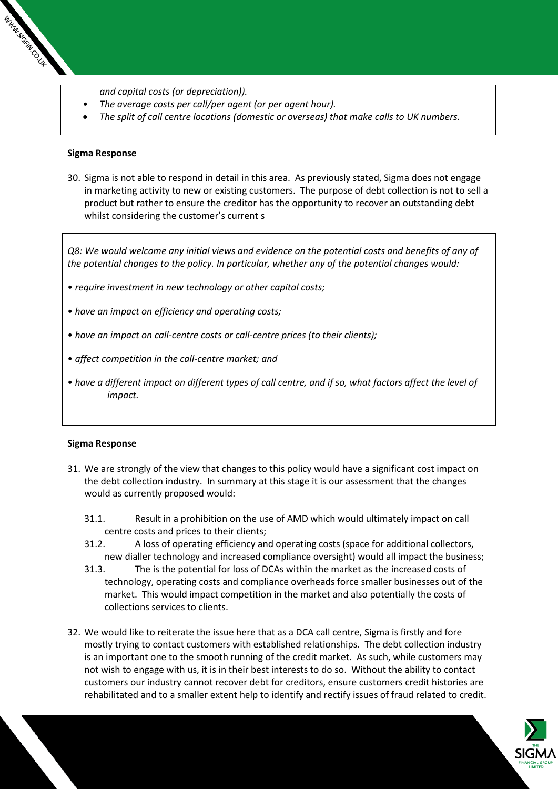- *and capital costs (or depreciation)).*
- *The average costs per call/per agent (or per agent hour).*
- *The split of call centre locations (domestic or overseas) that make calls to UK numbers.*

### **Sigma Response**

WWW.SCIN.C.U+

30. Sigma is not able to respond in detail in this area. As previously stated, Sigma does not engage in marketing activity to new or existing customers. The purpose of debt collection is not to sell a product but rather to ensure the creditor has the opportunity to recover an outstanding debt whilst considering the customer's current s

*Q8: We would welcome any initial views and evidence on the potential costs and benefits of any of the potential changes to the policy. In particular, whether any of the potential changes would:* 

- *require investment in new technology or other capital costs;*
- *have an impact on efficiency and operating costs;*
- *have an impact on call-centre costs or call-centre prices (to their clients);*
- *affect competition in the call-centre market; and*
- *have a different impact on different types of call centre, and if so, what factors affect the level of impact.*

### **Sigma Response**

- 31. We are strongly of the view that changes to this policy would have a significant cost impact on the debt collection industry. In summary at this stage it is our assessment that the changes would as currently proposed would:
	- 31.1. Result in a prohibition on the use of AMD which would ultimately impact on call centre costs and prices to their clients;
	- 31.2. A loss of operating efficiency and operating costs (space for additional collectors, new dialler technology and increased compliance oversight) would all impact the business;
	- 31.3. The is the potential for loss of DCAs within the market as the increased costs of technology, operating costs and compliance overheads force smaller businesses out of the market. This would impact competition in the market and also potentially the costs of collections services to clients.
- 32. We would like to reiterate the issue here that as a DCA call centre, Sigma is firstly and fore mostly trying to contact customers with established relationships. The debt collection industry is an important one to the smooth running of the credit market. As such, while customers may not wish to engage with us, it is in their best interests to do so. Without the ability to contact customers our industry cannot recover debt for creditors, ensure customers credit histories are rehabilitated and to a smaller extent help to identify and rectify issues of fraud related to credit.